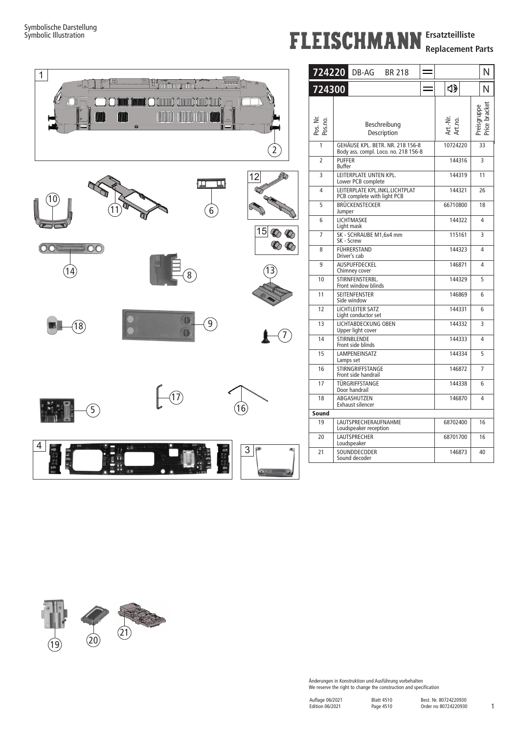## **FLEISCHMANN** Ersatzteilliste

**Replacement Parts**



|        | 724220                   | DB-AG<br><b>BR 218</b>                                                                    |          |                     | N                            |  |  |  |  |
|--------|--------------------------|-------------------------------------------------------------------------------------------|----------|---------------------|------------------------------|--|--|--|--|
|        | 724300                   |                                                                                           |          | 4)                  | N                            |  |  |  |  |
|        | ž<br>Pos. Nr.<br>Pos.no. | Beschreibung<br>Description                                                               |          | Art.-Nr.<br>Art.no. | Price bracket<br>Preisgruppe |  |  |  |  |
| 2      | $\mathbf{1}$             | GEHÄUSE KPL. BETR. NR. 218 156-8<br>Body ass. compl. Loco. no. 218 156-8<br><b>PUFFER</b> | 10724220 | 33                  |                              |  |  |  |  |
|        | $\overline{2}$           |                                                                                           | 144316   | 3                   |                              |  |  |  |  |
|        | 3                        | LEITERPLATE UNTEN KPL.<br>Lower PCB complete                                              |          | 144319              | 11                           |  |  |  |  |
|        | 4                        | LEITERPLATE KPL.INKL.LICHTPLAT<br>PCB complete with light PCB                             |          | 144321              | 26                           |  |  |  |  |
|        | 5                        | BRÜCKENSTECKER<br>Jumper                                                                  |          | 66710800            | 18                           |  |  |  |  |
|        | 6                        | LICHTMASKE<br>Light mask                                                                  |          | 144322              | 4                            |  |  |  |  |
| 15     | $\overline{7}$           | SK - SCHRAUBE M1,6x4 mm<br>SK - Screw                                                     |          | 115161              | 3                            |  |  |  |  |
|        | 8                        | FÜHRERSTAND<br>Driver's cab                                                               |          | 144323              | 4                            |  |  |  |  |
|        | 9                        | <b>AUSPUFFDECKEL</b><br>Chimney cover                                                     |          | 146871              | 4                            |  |  |  |  |
|        | 10                       | STIRNFENSTERBL.<br>Front window blinds                                                    |          | 144329              | 5                            |  |  |  |  |
|        | 11                       | <b>SEITENFENSTER</b><br>Side window                                                       |          | 146869              | 6                            |  |  |  |  |
|        | 12                       | LICHTLEITER SATZ<br>Light conductor set                                                   |          | 144331              | 6                            |  |  |  |  |
|        | 13                       | LICHTABDECKUNG OBEN<br>Upper light cover                                                  |          | 144332              | 3                            |  |  |  |  |
|        | 14                       | STIRNBLENDE<br>Front side blinds                                                          |          | 144333              | 4                            |  |  |  |  |
|        | 15                       | LAMPENEINSATZ<br>Lamps set                                                                |          | 144334              | 5                            |  |  |  |  |
|        | 16                       | STIRNGRIFFSTANGE<br>Front side handrail                                                   |          | 146872              | 7                            |  |  |  |  |
|        | 17                       | TÜRGRIFFSTANGE<br>Door handrail                                                           |          | 144338              | 6                            |  |  |  |  |
|        | 18                       | ABGASHUTZEN<br>Exhaust silencer                                                           |          | 146870              | 4                            |  |  |  |  |
|        | Sound                    |                                                                                           |          |                     |                              |  |  |  |  |
|        | 19                       | LAUTSPRECHERAUFNAHME<br>Loudspeaker reception                                             |          | 68702400            | 16                           |  |  |  |  |
|        | 20                       | LAUTSPRECHER<br>Loudspeaker                                                               |          | 68701700            | 16                           |  |  |  |  |
| 3<br>œ | 21                       | SOUNDDECODER<br>Sound decoder                                                             |          | 146873              | 40                           |  |  |  |  |
|        |                          |                                                                                           |          |                     |                              |  |  |  |  |



Änderungen in Konstruktion und Ausführung vorbehalten We reserve the right to change the construction and specification